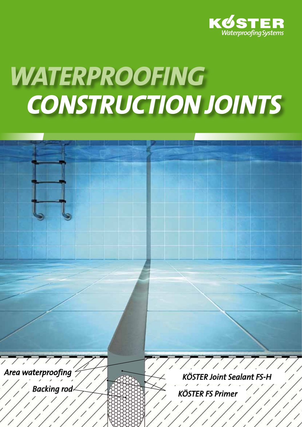

# *Waterproofing construction Joints*

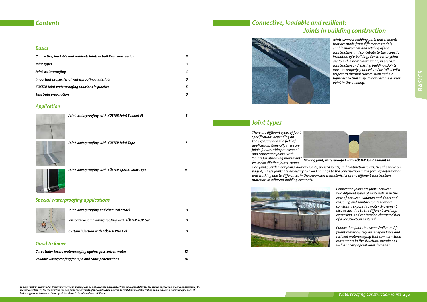#### *Basics*

| Connective, loadable and resilient: Joints in building construction |   |  |  |
|---------------------------------------------------------------------|---|--|--|
| Joint types                                                         |   |  |  |
| Joint waterproofing                                                 | 4 |  |  |
| Important properties of waterproofing materials                     |   |  |  |
| KÖSTER Joint waterproofing solutions in practice                    |   |  |  |
| Substrate preparation                                               |   |  |  |

#### *Application*



#### *Good to know*

| Case study: Secure waterproofing against pressurized water | 12 |
|------------------------------------------------------------|----|
| Reliable waterproofing for pipe and cable penetrations     | 14 |

#### *Contents*

*The information contained in this brochure are non-binding and do not release the applicator from his responsibility for the correct application under consideration of the specific conditions of the construction site and for the final results of the construction process. The valid standards for testing and installation, acknowledged rules of technology as well as our technical guidelines have to be adhered to at all times.*

#### *Special waterproofing applications*



*Joint waterproofing with KÖSTER Joint Sealant FS 6*



*Joint waterproofing with KÖSTER Joint Tape 7*

*Joint waterproofing with KÖSTER Special Joint Tape 9*

*There are different types of joint specifications depending on the exposure and the field of application. Generally there are joints for absorbing movement and connection joints. With* 



*"joints for absorbing movement" Moving joint, waterproofed with KÖSTER Joint Sealant FS we mean dilation joints, expansion joints, settlement joints, dummy joints, pressed joints, and contraction joints, (see the table on page 4). These joints are necessary to avoid damage to the construction in the form of deformation and cracking due to differences in the expansion characteristics of the different construction materials in adjacent building elements.*



| Joint waterproofing and chemical attack             | 77 |
|-----------------------------------------------------|----|
| Retroactive joint waterproofing with KÖSTER PUR Gel |    |
| Curtain injection with KÖSTER PUR Gel               | 11 |
|                                                     |    |

# *Connective, loadable and resilient: Joints in building construction*



*Joints connect building parts and elements that are made from different materials, enable movement and settling of the construction, and contribute to the acoustic insulation of a building. Construction joints are found in new construction, in precast construction and existing buildings. Joints must be properly planned and installed with respect to thermal transmission and air tightness so that they do not become a weak point in the building.* 

# *Joint types*

*Connection joints are joints between two different types of materials as in the case of between windows and doors and masonry, and sanitary joints that are constantly exposed to water. Movement also occurs due to the different swelling, expansion, and contraction characteristics of a construction material.* 

*Connection joints between similar or different materials require a dependable and resilient waterproofing that can withstand movements in the structural member as well as heavy operational demands.*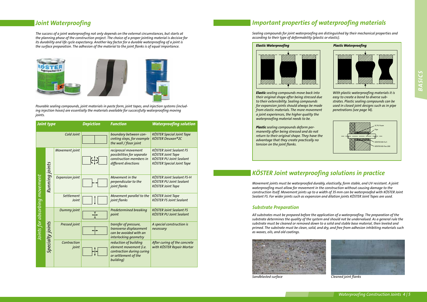| <b>Joint type</b>             |                  |                        | <b>Depiction</b> | <b>Function</b>                                                                                                   | <b>Waterproofing solution</b>                                                                                                    |
|-------------------------------|------------------|------------------------|------------------|-------------------------------------------------------------------------------------------------------------------|----------------------------------------------------------------------------------------------------------------------------------|
| Cold Joint                    |                  |                        |                  | boundary between con-<br>creting steps, for example<br>the wall / floor joint                                     | <b>KÖSTER Special Joint Tape</b><br>KÖSTER Deuxan®2C                                                                             |
|                               |                  | Movement joint         |                  | reciprocal movement<br>possibilities for separate<br>construction members in<br>different directions              | <b>KÖSTER Joint Sealant FS</b><br><b>KÖSTER Joint Tape</b><br><b>KÖSTER PU Joint Sealant</b><br><b>KÖSTER Special Joint Tape</b> |
|                               | Running joints   | <b>Expansion joint</b> |                  | Movement in the<br>perpendicular to the<br>joint flanks                                                           | <b>KÖSTER Joint Sealant FS-H</b><br><b>KÖSTER PU Joint Sealant</b><br><b>KÖSTER Joint Tape</b>                                   |
|                               |                  | Settlement<br>Joint    |                  | Movement parallel to the<br>joint flanks                                                                          | <b>KÖSTER Joint Tape</b><br><b>KÖSTER FS Joint Sealant</b>                                                                       |
| Joints for absorbing movement |                  | Dummy joint            |                  | <b>Predetermined breaking</b><br>point                                                                            | <b>KÖSTER Joint Sealant FS</b><br><b>KÖSTER PU Joint Sealant</b>                                                                 |
|                               | Specialty joints | Pressed joint          |                  | transfer of pressure,<br>transverse displacement<br>can be avoided with an<br>interlocking geometry               | A special construction is<br>necessary                                                                                           |
|                               |                  | Contraction<br>joint   |                  | reduction of building<br>element movement (i.e.<br>contraction during curing<br>or settlement of the<br>building) | After curing of the concrete<br>with KÖSTER Repair Mortar                                                                        |

#### *Joint Waterproofing*

*The success of a joint waterproofing not only depends on the external circumstances, but starts at the planning phase of the construction project. The choice of a proper jointing material is decisive for its durability and life cycle expectancy. Another key factor for a durable waterproofing of a joint is the surface preparation. The adhesion of the material to the joint flanks is of equal importance.*



*Pourable sealing compounds, joint materials in paste form, joint tapes, and injection systems (including injection hoses) are essentially the materials available for successfully waterproofing moving joints.*

# *Important properties of waterproofing materials*

*Sealing compounds for joint waterproofing are distinguished by their mechanical properties and according to their type of deformability (plastic or elastic).*



# *KÖSTER Joint waterproofing solutions in practice*

*Movement joints must be waterproofed durably, elastically, form stable, and UV resistant. A joint waterproofing must allow for movement in the construction without causing damage to the construction itself. Movement joints up to a width of 35 mm can be waterproofed with KÖSTER Joint Sealant FS. For wider joints such as expansion and dilation joints KÖSTER Joint Tapes are used.*

*All substrates must be prepared before the application of a waterproofing. The preparation of the substrate determines the quality of the system and should not be undervalued. As a general rule the substrate must be cleaned or removed down to a solid and stable base material, then leveled and primed. The substrate must be clean, solid, and dry, and free from adhesion inhibiting materials such as waxes, oils, and old coatings.*



#### *Substrate Preparation*

*With plastic waterproofing materials it is easy to create a bond to diverse substrates. Plastic sealing compounds can be used in closed joint designs such as in pipe penetrations (see page 14).* 

*Elastic sealing compounds move back into their original shape after being stressed due to their extensibility. Sealing compounds for expansion joints should always be made from elastic materials. The more movement a joint experiences, the higher quality the waterproofing material needs to be.* 

*Plastic sealing compounds deform permanently after being stressed and do not return to their original shape. They have the advantage that they create practically no tension on the joint flanks.* 





**Sandblasted surface** Cleaned joint flanks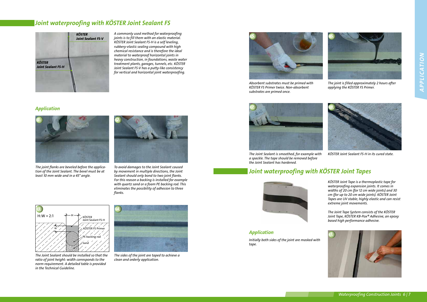# *Joint waterproofing with KÖSTER Joint Sealant FS*

*A commonly used method for waterproofing joints is to fill them with an elastic material. KÖSTER Joint Sealant FS-H is a self leveling, rubbery-elastic sealing compound with high chemical resistance and is therefore the ideal material to waterproof horizontal joints in heavy construction, in foundations, waste water treatment plants, garages, tunnels, etc. KÖSTER Joint Sealant FS-V has a putty-like consistency for vertical and horizontal joint waterproofing.* 



*The joint flanks are beveled before the application of the Joint Sealant. The bevel must be at least 10 mm wide and in a 45° angle.* 

#### *Application*



*To avoid damages to the Joint Sealant caused by movement in multiple directions, the Joint Sealant should only bond to two joint flanks. For this reason a backing is installed for example with quartz sand or a foam PE backing rod. This eliminates the possibility of adhesion to three flanks.*



*The sides of the joint are taped to achieve a clean and orderly application.* 



*The Joint Sealant should be installed so that the ratio of joint height: width corresponds to the norm requirement. A detailed table is provided in the Technical Guideline.*



*The joint is filled approximately 2 hours after applying the KÖSTER FS Primer.*

*The Joint Sealant is smoothed, for example with a spackle. The tape should be removed before the Joint Sealant has hardened.*



*KÖSTER Joint Sealant FS-H in its cured state.*

# *Joint waterproofing with KÖSTER Joint Tapes*



*Absorbent substrates must be primed with KÖSTER FS Primer twice. Non-absorbent substrates are primed once.* 

*KÖSTER Joint Tape is a thermoplastic tape for waterproofing expansion joints. It comes in widths of 20 cm (for 12 cm wide joints) and 30 cm (for up to 20 cm wide joints). KÖSTER Joint Tapes are UV stable; highly elastic and can resist extreme joint movements.*

*The Joint Tape System consists of the KÖSTER Joint Tape, KÖSTER KB-Pox® Adhesive, an epoxy based high performance adhesive.*

*Initially both sides of the joint are masked with tape.* 



*Application*





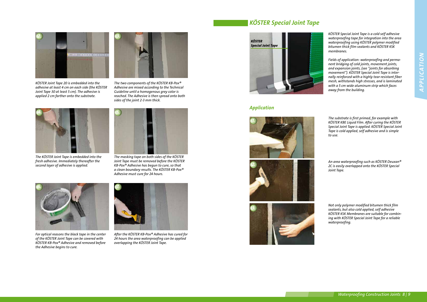

*The two components of the KÖSTER KB-Pox® Adhesive are mixed according to the Technical Guideline until a homogenous grey color is reached. The Adhesive is then spread onto both sides of the joint 2-3 mm thick.*



*KÖSTER Joint Tape 20 is embedded into the adhesive at least 4 cm on each side (the KÖSTER Joint Tape 30 at least 5 cm). The adhesive is applied 2 cm farther onto the substrate.* 



*The masking tape on both sides of the KÖSTER Joint Tape must be removed before the KÖSTER KB-Pox® Adhesive has begun to cure, so that a clean boundary results. The KÖSTER KB-Pox® Adhesive must cure for 24 hours.* 



*The KÖSTER Joint Tape is embedded into the fresh adhesive. Immediately thereafter the second layer of adhesive is applied.* 



*After the KÖSTER KB-Pox® Adhesive has cured for 24 hours the area waterproofing can be applied overlapping the KÖSTER Joint Tape.*



*For optical reasons the black tape in the center of the KÖSTER Joint Tape can be covered with KÖSTER KB-Pox® Adhesive and removed before the Adhesive begins to cure.* 

# *KÖSTER Special Joint Tape*

*KÖSTER Special Joint Tape is a cold self adhesive waterproofing tape for integration into the area waterproofing using KÖSTER polymer modified bitumen thick film sealants and KÖSTER KSK membranes.*

*Fields of application: waterproofing and permanent bridging of cold joints, movement joints, and expansion joints, (see "joints for absorbing movement"). KÖSTER Special Joint Tape is internally reinforced with a highly tear-resistant fiber mesh, withstands high stresses, and is laminated with a 5 cm wide aluminum strip which faces away from the building.*

#### *Application*

*The substrate is first primed, for example with KÖSTER KBE Liquid Film. After curing the KÖSTER Special Joint Tape is applied. KÖSTER Special Joint Tape is cold applied, self adhesive and is simple to use.*

*An area waterproofing such as KÖSTER Deuxan® 2C is easily overlapped onto the KÖSTER Special Joint Tape.*

*Not only polymer modified bitumen thick film sealants, but also cold applied, self adhesive KÖSTER KSK Membranes are suitable for combining with KÖSTER Special Joint Tape for a reliable waterproofing.*







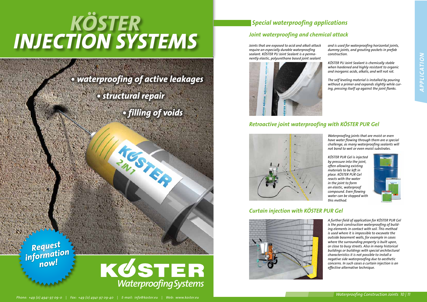*Waterproofing joints that are moist or even have water flowing through them are a special challenge, as many waterproofing sealants will not bond to wet or even moist substrates.* 

*KÖSTER PUR Gel is injected by pressure into the joint, often allowing existing materials to be left in place. KÖSTER PUR Gel reacts with the water in the joint to form an elastic, waterproof compound. Even flowing water can be stopped with this method.*



#### *Curtain injection with KÖSTER PUR Gel*



# KÖST *Injection systems*

*Request*  information

*A further field of application for KÖSTER PUR Gel is the post construction waterproofing of building elements in contact with soil. This method is used where it is impossible to excavate the outside basement walls, for example in cases where the surrounding property is built upon, or close to busy streets. Also in many historical buildings or buildings with special architectural characteristics it is not possible to install a negative side waterproofing due to aesthetic concerns. In such cases a curtain injection is an effective alternative technique.*

*• waterproofing of active leakages*

*• structural repair* 

*• filling of voids*

HOSTAN CHANNEL

# *Special waterproofing applications*

# *Retroactive joint waterproofing with KÖSTER PUR Gel*



#### *Joint waterproofing and chemical attack*

*Joints that are exposed to acid and alkali attack require an especially durable waterproofing sealant. KÖSTER PU Joint Sealant is a permanently elastic, polyurethane based joint sealant* 



*WaterproofingSystems*

*and is used for waterproofing horizontal joints, dummy joints, and grouting pockets in prefab construction.*

*KÖSTER PU Joint Sealant is chemically stable when hardened and highly resistant to organic and inorganic acids, alkalis, and will not rot.*

*The self leveling material is installed by pouring without a primer and expands slightly while curing, pressing itself up against the joint flanks.*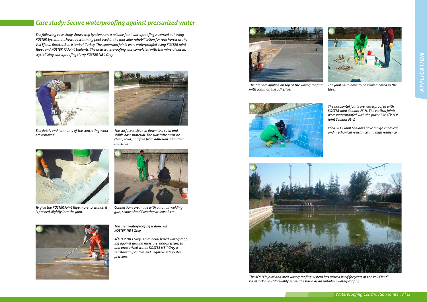

*The surface is cleaned down to a solid and stable base material. The substrate must be clean, solid, and free from adhesion inhibiting materials.*

*Waterproofing Construction Joints 12 | 13*

### *Case study: Secure waterproofing against pressurized water*

*The following case study shows step by step how a reliable joint waterproofing is carried out using KÖSTER Systems. It shows a swimming pool used in the muscular rehabilitation for race horses at the Veli Efendi Racetrack in Istanbul, Turkey. The expansion joints were waterproofed using KÖSTER Joint Tapes and KÖSTER FS Joint Sealants. The area waterproofing was completed with the mineral based, crystallizing waterproofing slurry KÖSTER NB 1 Grey.* 



*The debris and remnants of the concreting work are removed.*

*The area waterproofing is done with KÖSTER NB 1 Grey.*

*KÖSTER NB 1 Grey is a mineral based waterproofing against ground moisture, non-pressurized and pressurized water. KÖSTER NB 1 Grey is resistant to positive and negative side water pressure.* 



*To give the KÖSTER Joint Tape more tolerance, it is pressed slightly into the joint.*



*The joints also have to be implemented in the tiles.*

*The horizontal joints are waterproofed with KÖSTER Joint Sealant FS-H. The vertical joints were waterproofed with the putty-like KÖSTER Joint Sealant FS-V.*



*The tiles are applied on top of the waterproofing with common tile adhesive.* 

*KÖSTER FS Joint Sealants have a high chemical and mechanical resistance and high resiliency.*







*Connections are made with a hot air welding gun; seams should overlap at least 2 cm.*



*The KÖSTER joint and area waterproofing system has proved itself for years at the Veli Efendi Racetrack and still reliably serves the basin as an unfailing waterproofing.*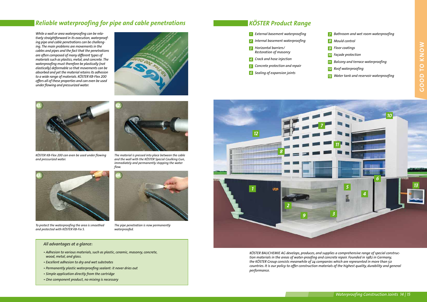#### *Waterproofing Construction Joints 14 | 15*

### *Reliable waterproofing for pipe and cable penetrations*

*While a wall or area waterproofing can be relatively straightforward in its execution, waterproofing pipe and cable penetrations can be challenging. The main problems are movements in the cables and pipes and the fact that the penetrations are often composed of many different types of materials such as plastics, metal, and concrete. The waterproofing must therefore be plastically (not elastically) deformable so that movements can be absorbed and yet the material retains its adhesion to a wide range of materials. KÖSTER KB-Flex 200 offers all of these properties and can even be used under flowing and pressurized water.*





*The pipe penetration is now permanently waterproofed.*



*The material is pressed into place between the cable and the wall with the KÖSTER Special Caulking Gun, immediately and permanently stopping the water flow.*

#### *All advantages at a glance:*



*To protect the waterproofing the area is smoothed and protected with KÖSTER KB-Fix 5.*



*KÖSTER KB-Flex 200 can even be used under flowing and pressurized water.*

- Adhesion to various materials, such as plastic, ceramic, masonry, concrete,  *wood, metal, and glass.*
- Excellent adhesion to dry and wet substrates
- Permanently plastic waterproofing sealant: it never dries out
- Simple application directly from the cartridge
- One component product, no mixing is necessary







*KÖSTER BAUCHEMIE AG develops, produces, and supplies a comprehensive range of special construction materials in the areas of water-proofing and concrete repair. Founded in 1982 in Germany, the KÖSTER Group consists meanwhile of 24 companies which are represented in more than 50 countries. It is our policy to offer construction materials of the highest quality, durability and general performance.* 

- *7 Bathroom and wet room waterproofing*
- *8 Mould control*
- *9 Floor coatings*
- *10 Façade protection*
- *11 Balcony and terrace waterproofing*
- *12 Roof waterproofing*
- *13 Water tank and reservoir waterproofing*